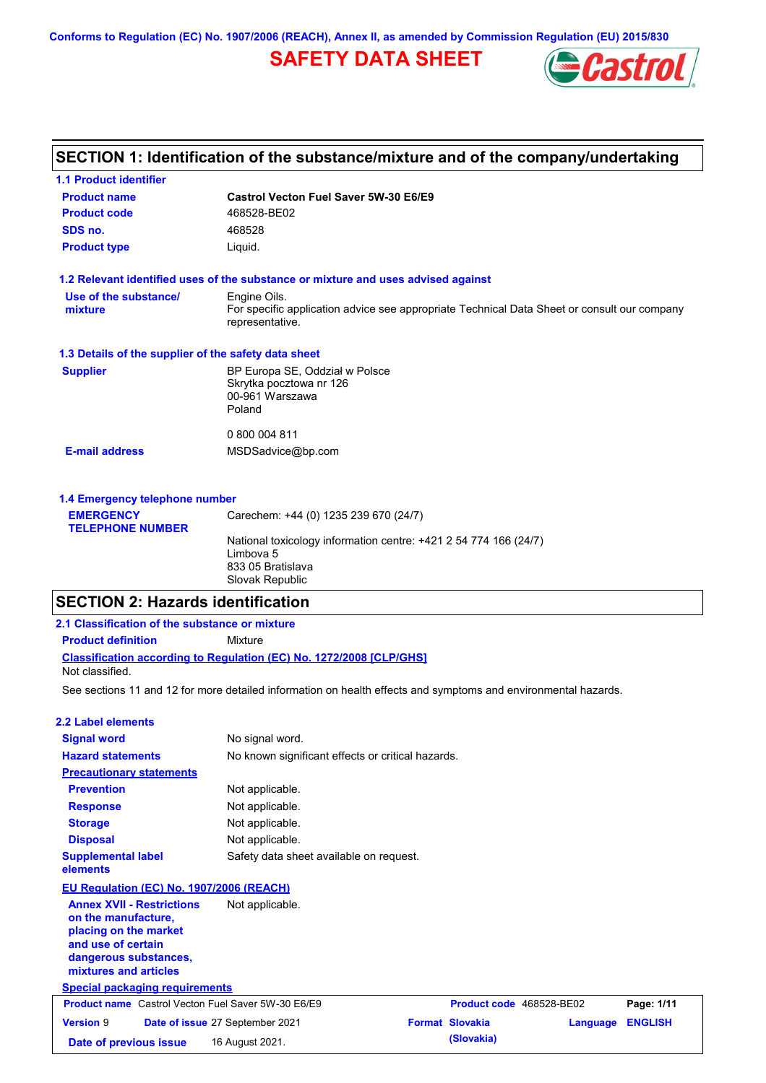**Conforms to Regulation (EC) No. 1907/2006 (REACH), Annex II, as amended by Commission Regulation (EU) 2015/830**

# **SAFETY DATA SHEET**



# **SECTION 1: Identification of the substance/mixture and of the company/undertaking**

| <b>1.1 Product identifier</b>                        |                                                                                                                |
|------------------------------------------------------|----------------------------------------------------------------------------------------------------------------|
| <b>Product name</b>                                  | Castrol Vecton Fuel Saver 5W-30 E6/E9                                                                          |
| <b>Product code</b>                                  | 468528-BE02                                                                                                    |
| SDS no.                                              | 468528                                                                                                         |
| <b>Product type</b>                                  | Liquid.                                                                                                        |
|                                                      | 1.2 Relevant identified uses of the substance or mixture and uses advised against                              |
| Use of the substance/                                | Engine Oils.                                                                                                   |
| mixture                                              | For specific application advice see appropriate Technical Data Sheet or consult our company<br>representative. |
| 1.3 Details of the supplier of the safety data sheet |                                                                                                                |
| <b>Supplier</b>                                      | BP Europa SE, Oddział w Polsce                                                                                 |
|                                                      | Skrytka pocztowa nr 126                                                                                        |
|                                                      | 00-961 Warszawa<br>Poland                                                                                      |
|                                                      |                                                                                                                |
|                                                      | 0 800 004 811                                                                                                  |
| <b>E-mail address</b>                                | MSDSadvice@bp.com                                                                                              |
| 1.4 Emergency telephone number                       |                                                                                                                |
|                                                      |                                                                                                                |

| <b>EMERGENCY</b>        | Carechem: +44 (0) 1235 239 670 (24/7)                            |  |
|-------------------------|------------------------------------------------------------------|--|
| <b>TELEPHONE NUMBER</b> |                                                                  |  |
|                         | National toxicology information centre: +421 2 54 774 166 (24/7) |  |
|                         | Limbova 5                                                        |  |
|                         | 833 05 Bratislava                                                |  |
|                         | Slovak Republic                                                  |  |
|                         |                                                                  |  |

# **SECTION 2: Hazards identification**

| 2.1 Classification of the substance or mixture                                                                                                           |                                                                                                                |                          |          |                |
|----------------------------------------------------------------------------------------------------------------------------------------------------------|----------------------------------------------------------------------------------------------------------------|--------------------------|----------|----------------|
| <b>Product definition</b>                                                                                                                                | Mixture                                                                                                        |                          |          |                |
| Not classified.                                                                                                                                          | <b>Classification according to Regulation (EC) No. 1272/2008 [CLP/GHS]</b>                                     |                          |          |                |
|                                                                                                                                                          | See sections 11 and 12 for more detailed information on health effects and symptoms and environmental hazards. |                          |          |                |
| 2.2 Label elements                                                                                                                                       |                                                                                                                |                          |          |                |
| <b>Signal word</b>                                                                                                                                       | No signal word.                                                                                                |                          |          |                |
| <b>Hazard statements</b>                                                                                                                                 | No known significant effects or critical hazards.                                                              |                          |          |                |
| <b>Precautionary statements</b>                                                                                                                          |                                                                                                                |                          |          |                |
| <b>Prevention</b>                                                                                                                                        | Not applicable.                                                                                                |                          |          |                |
| <b>Response</b>                                                                                                                                          | Not applicable.                                                                                                |                          |          |                |
| <b>Storage</b>                                                                                                                                           | Not applicable.                                                                                                |                          |          |                |
| <b>Disposal</b>                                                                                                                                          | Not applicable.                                                                                                |                          |          |                |
| <b>Supplemental label</b><br>elements                                                                                                                    | Safety data sheet available on request.                                                                        |                          |          |                |
| EU Regulation (EC) No. 1907/2006 (REACH)                                                                                                                 |                                                                                                                |                          |          |                |
| <b>Annex XVII - Restrictions</b><br>on the manufacture.<br>placing on the market<br>and use of certain<br>dangerous substances,<br>mixtures and articles | Not applicable.                                                                                                |                          |          |                |
| <b>Special packaging requirements</b>                                                                                                                    |                                                                                                                |                          |          |                |
| <b>Product name</b> Castrol Vecton Fuel Saver 5W-30 E6/E9                                                                                                |                                                                                                                | Product code 468528-BE02 |          | Page: 1/11     |
| <b>Version 9</b>                                                                                                                                         | Date of issue 27 September 2021                                                                                | <b>Format Slovakia</b>   | Language | <b>ENGLISH</b> |
| Date of previous issue                                                                                                                                   | 16 August 2021.                                                                                                | (Slovakia)               |          |                |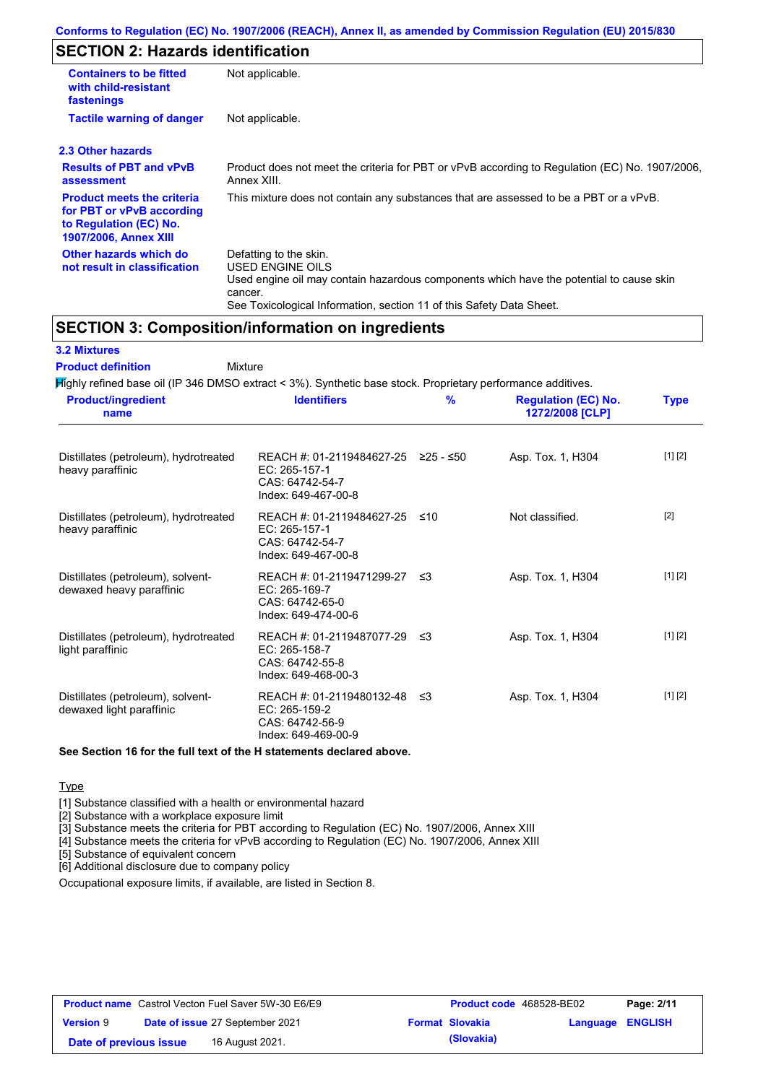# **SECTION 2: Hazards identification**

| <b>Containers to be fitted</b><br>with child-resistant<br>fastenings                                                     | Not applicable.                                                                                                                                                                                                          |
|--------------------------------------------------------------------------------------------------------------------------|--------------------------------------------------------------------------------------------------------------------------------------------------------------------------------------------------------------------------|
| <b>Tactile warning of danger</b>                                                                                         | Not applicable.                                                                                                                                                                                                          |
| 2.3 Other hazards                                                                                                        |                                                                                                                                                                                                                          |
| <b>Results of PBT and vPvB</b><br>assessment                                                                             | Product does not meet the criteria for PBT or vPvB according to Regulation (EC) No. 1907/2006,<br>Annex XIII.                                                                                                            |
| <b>Product meets the criteria</b><br>for PBT or vPvB according<br>to Regulation (EC) No.<br><b>1907/2006, Annex XIII</b> | This mixture does not contain any substances that are assessed to be a PBT or a vPvB.                                                                                                                                    |
| Other hazards which do<br>not result in classification                                                                   | Defatting to the skin.<br>USED ENGINE OILS<br>Used engine oil may contain hazardous components which have the potential to cause skin<br>cancer.<br>See Toxicological Information, section 11 of this Safety Data Sheet. |

# **SECTION 3: Composition/information on ingredients**

| <b>3.2 Mixtures</b><br><b>Product definition</b><br>Mixture                                                  |                                                                                                |     |                                               |             |
|--------------------------------------------------------------------------------------------------------------|------------------------------------------------------------------------------------------------|-----|-----------------------------------------------|-------------|
| Mighly refined base oil (IP 346 DMSO extract < 3%). Synthetic base stock. Proprietary performance additives. |                                                                                                |     |                                               |             |
| <b>Product/ingredient</b><br>name                                                                            | <b>Identifiers</b>                                                                             | %   | <b>Regulation (EC) No.</b><br>1272/2008 [CLP] | <b>Type</b> |
| Distillates (petroleum), hydrotreated<br>heavy paraffinic                                                    | REACH #: 01-2119484627-25 ≥25 - ≤50<br>EC: 265-157-1<br>CAS: 64742-54-7<br>Index: 649-467-00-8 |     | Asp. Tox. 1, H304                             | [1] [2]     |
| Distillates (petroleum), hydrotreated<br>heavy paraffinic                                                    | REACH #: 01-2119484627-25<br>EC: 265-157-1<br>CAS: 64742-54-7<br>Index: 649-467-00-8           | ≤10 | Not classified.                               | $[2]$       |
| Distillates (petroleum), solvent-<br>dewaxed heavy paraffinic                                                | REACH #: 01-2119471299-27<br>EC: 265-169-7<br>CAS: 64742-65-0<br>Index: 649-474-00-6           | -≤3 | Asp. Tox. 1, H304                             | [1] [2]     |
| Distillates (petroleum), hydrotreated<br>light paraffinic                                                    | REACH #: 01-2119487077-29<br>EC: 265-158-7<br>CAS: 64742-55-8<br>Index: 649-468-00-3           | -≤3 | Asp. Tox. 1, H304                             | [1] [2]     |
| Distillates (petroleum), solvent-<br>dewaxed light paraffinic                                                | REACH #: 01-2119480132-48<br>EC: 265-159-2<br>CAS: 64742-56-9<br>Index: 649-469-00-9           | -≤3 | Asp. Tox. 1, H304                             | [1] [2]     |

### **See Section 16 for the full text of the H statements declared above.**

Type

[1] Substance classified with a health or environmental hazard

[2] Substance with a workplace exposure limit

[3] Substance meets the criteria for PBT according to Regulation (EC) No. 1907/2006, Annex XIII

[4] Substance meets the criteria for vPvB according to Regulation (EC) No. 1907/2006, Annex XIII

[5] Substance of equivalent concern

[6] Additional disclosure due to company policy

Occupational exposure limits, if available, are listed in Section 8.

|                        | <b>Product name</b> Castrol Vecton Fuel Saver 5W-30 E6/E9 | Product code 468528-BE02 |                         | Page: 2/11 |
|------------------------|-----------------------------------------------------------|--------------------------|-------------------------|------------|
| <b>Version 9</b>       | Date of issue 27 September 2021                           | <b>Format Slovakia</b>   | <b>Language ENGLISH</b> |            |
| Date of previous issue | 16 August 2021.                                           | (Slovakia)               |                         |            |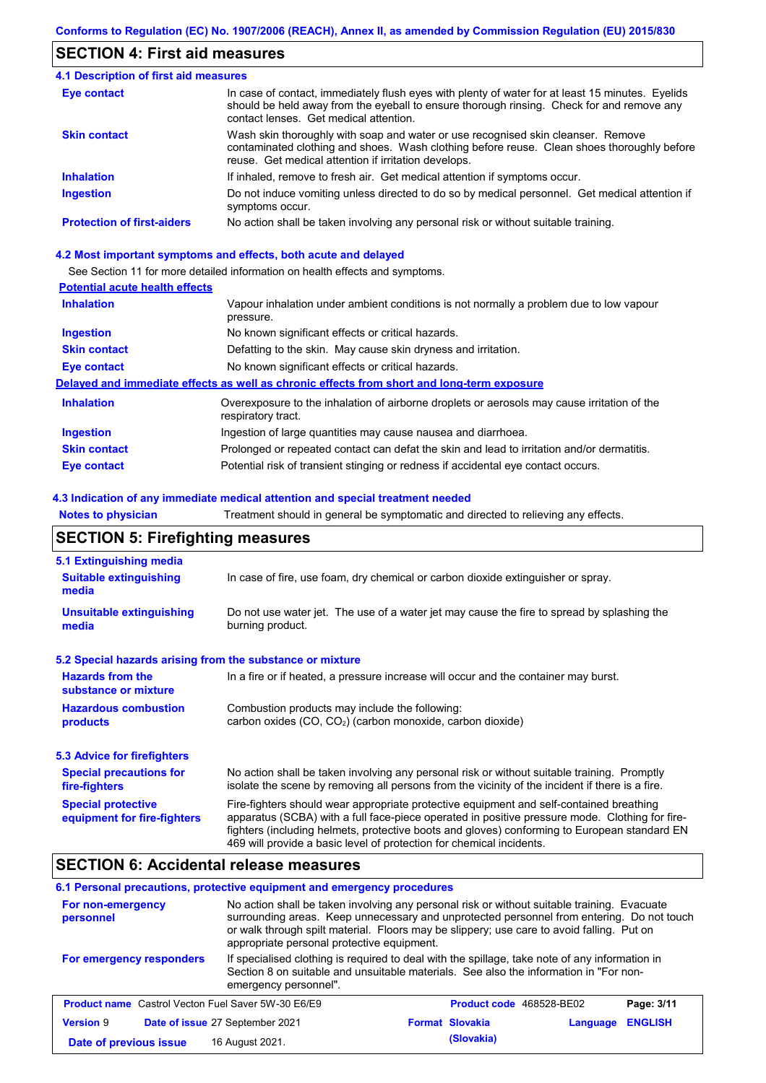# **SECTION 4: First aid measures**

#### Do not induce vomiting unless directed to do so by medical personnel. Get medical attention if symptoms occur. In case of contact, immediately flush eyes with plenty of water for at least 15 minutes. Eyelids should be held away from the eyeball to ensure thorough rinsing. Check for and remove any contact lenses. Get medical attention. **4.1 Description of first aid measures** If inhaled, remove to fresh air. Get medical attention if symptoms occur. **Ingestion Inhalation Eye contact Protection of first-aiders** No action shall be taken involving any personal risk or without suitable training. **Skin contact** Wash skin thoroughly with soap and water or use recognised skin cleanser. Remove contaminated clothing and shoes. Wash clothing before reuse. Clean shoes thoroughly before reuse. Get medical attention if irritation develops.

#### **4.2 Most important symptoms and effects, both acute and delayed**

See Section 11 for more detailed information on health effects and symptoms.

### **Potential acute health effects**

| <b>Inhalation</b>   | Vapour inhalation under ambient conditions is not normally a problem due to low vapour<br>pressure.               |
|---------------------|-------------------------------------------------------------------------------------------------------------------|
| <b>Ingestion</b>    | No known significant effects or critical hazards.                                                                 |
| <b>Skin contact</b> | Defatting to the skin. May cause skin dryness and irritation.                                                     |
| Eye contact         | No known significant effects or critical hazards.                                                                 |
|                     | Delayed and immediate effects as well as chronic effects from short and long-term exposure                        |
| <b>Inhalation</b>   | Overexposure to the inhalation of airborne droplets or aerosols may cause irritation of the<br>respiratory tract. |
| <b>Ingestion</b>    | Ingestion of large quantities may cause nausea and diarrhoea.                                                     |
| <b>Skin contact</b> | Prolonged or repeated contact can defat the skin and lead to irritation and/or dermatitis.                        |
| Eye contact         | Potential risk of transient stinging or redness if accidental eye contact occurs.                                 |

#### **4.3 Indication of any immediate medical attention and special treatment needed**

**Notes to physician** Treatment should in general be symptomatic and directed to relieving any effects.

## **SECTION 5: Firefighting measures**

| 5.1 Extinguishing media                                   |                                                                                                                                                                                                                                                                                                                                                                   |
|-----------------------------------------------------------|-------------------------------------------------------------------------------------------------------------------------------------------------------------------------------------------------------------------------------------------------------------------------------------------------------------------------------------------------------------------|
| <b>Suitable extinguishing</b><br>media                    | In case of fire, use foam, dry chemical or carbon dioxide extinguisher or spray.                                                                                                                                                                                                                                                                                  |
| <b>Unsuitable extinguishing</b><br>media                  | Do not use water jet. The use of a water jet may cause the fire to spread by splashing the<br>burning product.                                                                                                                                                                                                                                                    |
| 5.2 Special hazards arising from the substance or mixture |                                                                                                                                                                                                                                                                                                                                                                   |
| <b>Hazards from the</b><br>substance or mixture           | In a fire or if heated, a pressure increase will occur and the container may burst.                                                                                                                                                                                                                                                                               |
| <b>Hazardous combustion</b><br>products                   | Combustion products may include the following:<br>carbon oxides (CO, CO <sub>2</sub> ) (carbon monoxide, carbon dioxide)                                                                                                                                                                                                                                          |
| 5.3 Advice for firefighters                               |                                                                                                                                                                                                                                                                                                                                                                   |
| <b>Special precautions for</b><br>fire-fighters           | No action shall be taken involving any personal risk or without suitable training. Promptly<br>isolate the scene by removing all persons from the vicinity of the incident if there is a fire.                                                                                                                                                                    |
| <b>Special protective</b><br>equipment for fire-fighters  | Fire-fighters should wear appropriate protective equipment and self-contained breathing<br>apparatus (SCBA) with a full face-piece operated in positive pressure mode. Clothing for fire-<br>fighters (including helmets, protective boots and gloves) conforming to European standard EN<br>469 will provide a basic level of protection for chemical incidents. |

## **SECTION 6: Accidental release measures**

#### **6.1 Personal precautions, protective equipment and emergency procedures**

| For non-emergency<br>personnel                            | No action shall be taken involving any personal risk or without suitable training. Evacuate<br>surrounding areas. Keep unnecessary and unprotected personnel from entering. Do not touch<br>or walk through spilt material. Floors may be slippery; use care to avoid falling. Put on<br>appropriate personal protective equipment. |                        |                          |                |
|-----------------------------------------------------------|-------------------------------------------------------------------------------------------------------------------------------------------------------------------------------------------------------------------------------------------------------------------------------------------------------------------------------------|------------------------|--------------------------|----------------|
| For emergency responders                                  | If specialised clothing is required to deal with the spillage, take note of any information in<br>Section 8 on suitable and unsuitable materials. See also the information in "For non-<br>emergency personnel".                                                                                                                    |                        |                          |                |
| <b>Product name</b> Castrol Vecton Fuel Saver 5W-30 E6/E9 |                                                                                                                                                                                                                                                                                                                                     |                        | Product code 468528-BE02 | Page: 3/11     |
| <b>Version 9</b>                                          | Date of issue 27 September 2021                                                                                                                                                                                                                                                                                                     | <b>Format Slovakia</b> | Language                 | <b>ENGLISH</b> |
| Date of previous issue                                    | 16 August 2021.                                                                                                                                                                                                                                                                                                                     | (Slovakia)             |                          |                |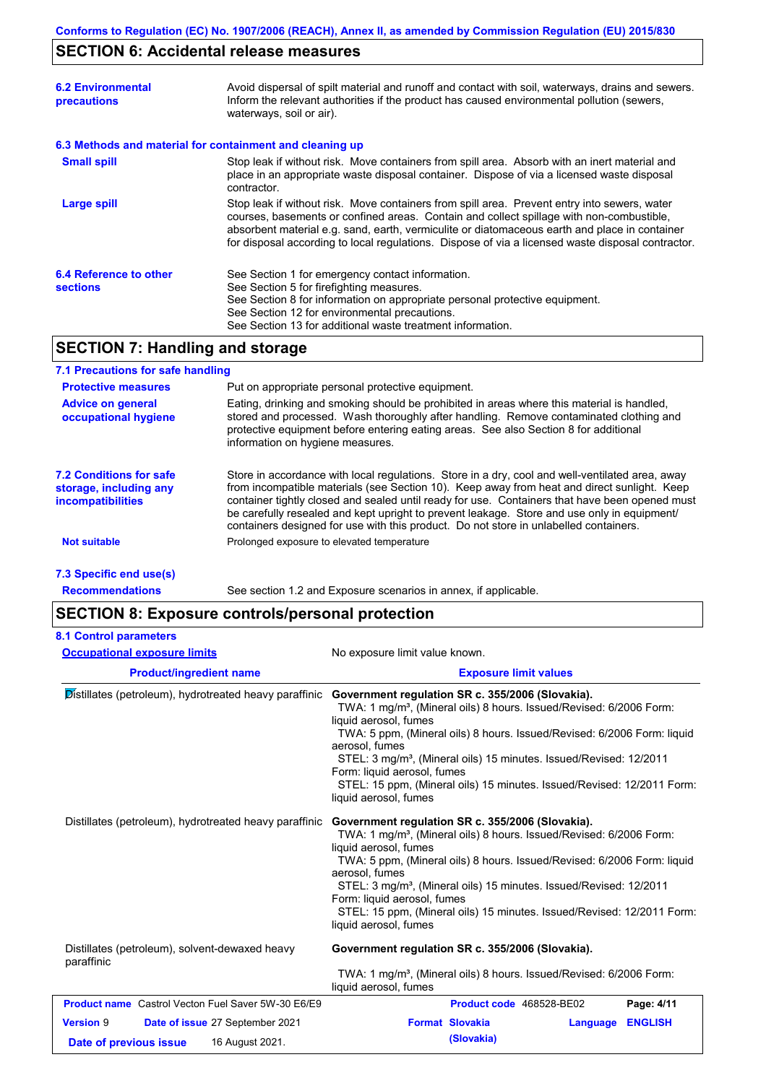# **SECTION 6: Accidental release measures**

| <b>6.2 Environmental</b><br>precautions                  | Avoid dispersal of spilt material and runoff and contact with soil, waterways, drains and sewers.<br>Inform the relevant authorities if the product has caused environmental pollution (sewers,<br>waterways, soil or air).                                                                                                                                                                    |
|----------------------------------------------------------|------------------------------------------------------------------------------------------------------------------------------------------------------------------------------------------------------------------------------------------------------------------------------------------------------------------------------------------------------------------------------------------------|
| 6.3 Methods and material for containment and cleaning up |                                                                                                                                                                                                                                                                                                                                                                                                |
| <b>Small spill</b>                                       | Stop leak if without risk. Move containers from spill area. Absorb with an inert material and<br>place in an appropriate waste disposal container. Dispose of via a licensed waste disposal<br>contractor.                                                                                                                                                                                     |
| Large spill                                              | Stop leak if without risk. Move containers from spill area. Prevent entry into sewers, water<br>courses, basements or confined areas. Contain and collect spillage with non-combustible,<br>absorbent material e.g. sand, earth, vermiculite or diatomaceous earth and place in container<br>for disposal according to local regulations. Dispose of via a licensed waste disposal contractor. |
| 6.4 Reference to other<br><b>sections</b>                | See Section 1 for emergency contact information.<br>See Section 5 for firefighting measures.<br>See Section 8 for information on appropriate personal protective equipment.<br>See Section 12 for environmental precautions.<br>See Section 13 for additional waste treatment information.                                                                                                     |
| <b>SECTION 7: Handling and storage</b>                   |                                                                                                                                                                                                                                                                                                                                                                                                |

### **7.1 Precautions for safe handling**

| <b>Protective measures</b><br><b>Advice on general</b><br>occupational hygiene       | Put on appropriate personal protective equipment.<br>Eating, drinking and smoking should be prohibited in areas where this material is handled,<br>stored and processed. Wash thoroughly after handling. Remove contaminated clothing and<br>protective equipment before entering eating areas. See also Section 8 for additional<br>information on hygiene measures.                                                                                                                    |
|--------------------------------------------------------------------------------------|------------------------------------------------------------------------------------------------------------------------------------------------------------------------------------------------------------------------------------------------------------------------------------------------------------------------------------------------------------------------------------------------------------------------------------------------------------------------------------------|
| <b>7.2 Conditions for safe</b><br>storage, including any<br><b>incompatibilities</b> | Store in accordance with local regulations. Store in a dry, cool and well-ventilated area, away<br>from incompatible materials (see Section 10). Keep away from heat and direct sunlight. Keep<br>container tightly closed and sealed until ready for use. Containers that have been opened must<br>be carefully resealed and kept upright to prevent leakage. Store and use only in equipment/<br>containers designed for use with this product. Do not store in unlabelled containers. |
| Not suitable                                                                         | Prolonged exposure to elevated temperature                                                                                                                                                                                                                                                                                                                                                                                                                                               |
|                                                                                      |                                                                                                                                                                                                                                                                                                                                                                                                                                                                                          |

**7.3 Specific end use(s)**

**Recommendations**

See section 1.2 and Exposure scenarios in annex, if applicable.

# **SECTION 8: Exposure controls/personal protection**

| <b>Occupational exposure limits</b>                          | No exposure limit value known.                                                                                                                                                                                                                                                                                                                                                                                                                                                |  |  |
|--------------------------------------------------------------|-------------------------------------------------------------------------------------------------------------------------------------------------------------------------------------------------------------------------------------------------------------------------------------------------------------------------------------------------------------------------------------------------------------------------------------------------------------------------------|--|--|
| <b>Product/ingredient name</b>                               | <b>Exposure limit values</b>                                                                                                                                                                                                                                                                                                                                                                                                                                                  |  |  |
| Distillates (petroleum), hydrotreated heavy paraffinic       | Government regulation SR c. 355/2006 (Slovakia).<br>TWA: 1 mg/m <sup>3</sup> , (Mineral oils) 8 hours. Issued/Revised: 6/2006 Form:<br>liquid aerosol, fumes<br>TWA: 5 ppm, (Mineral oils) 8 hours. Issued/Revised: 6/2006 Form: liquid<br>aerosol, fumes<br>STEL: 3 mg/m <sup>3</sup> , (Mineral oils) 15 minutes. Issued/Revised: 12/2011<br>Form: liquid aerosol, fumes<br>STEL: 15 ppm, (Mineral oils) 15 minutes. Issued/Revised: 12/2011 Form:<br>liquid aerosol, fumes |  |  |
| Distillates (petroleum), hydrotreated heavy paraffinic       | Government regulation SR c. 355/2006 (Slovakia).<br>TWA: 1 mg/m <sup>3</sup> , (Mineral oils) 8 hours. Issued/Revised: 6/2006 Form:<br>liquid aerosol, fumes<br>TWA: 5 ppm, (Mineral oils) 8 hours. Issued/Revised: 6/2006 Form: liquid<br>aerosol, fumes<br>STEL: 3 mg/m <sup>3</sup> , (Mineral oils) 15 minutes. Issued/Revised: 12/2011<br>Form: liquid aerosol, fumes<br>STEL: 15 ppm, (Mineral oils) 15 minutes. Issued/Revised: 12/2011 Form:<br>liquid aerosol, fumes |  |  |
| Distillates (petroleum), solvent-dewaxed heavy<br>paraffinic | Government regulation SR c. 355/2006 (Slovakia).<br>TWA: 1 mg/m <sup>3</sup> , (Mineral oils) 8 hours. Issued/Revised: 6/2006 Form:<br>liquid aerosol, fumes                                                                                                                                                                                                                                                                                                                  |  |  |
| <b>Product name</b> Castrol Vecton Fuel Saver 5W-30 E6/E9    | Product code 468528-BE02<br>Page: 4/11                                                                                                                                                                                                                                                                                                                                                                                                                                        |  |  |
| <b>Version 9</b><br>Date of issue 27 September 2021          | <b>Format Slovakia</b><br><b>ENGLISH</b><br>Language                                                                                                                                                                                                                                                                                                                                                                                                                          |  |  |
| 16 August 2021.<br>Date of previous issue                    | (Slovakia)                                                                                                                                                                                                                                                                                                                                                                                                                                                                    |  |  |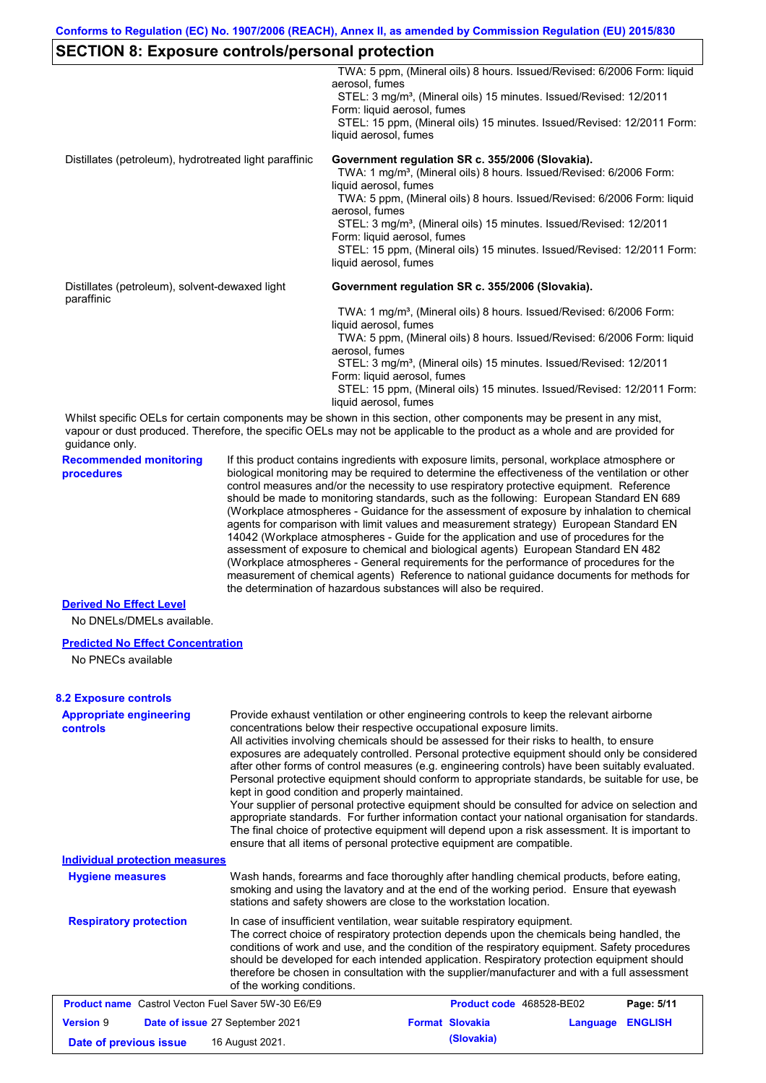# **SECTION 8: Exposure controls/personal protection**

|                                                              |                            | TWA: 5 ppm, (Mineral oils) 8 hours. Issued/Revised: 6/2006 Form: liquid<br>aerosol, fumes                                                                                                                                                                                                                                                                                                                                                                                                                                                                                                                                                                                                                                                                                                                                                                                                                                                                                                                                  |
|--------------------------------------------------------------|----------------------------|----------------------------------------------------------------------------------------------------------------------------------------------------------------------------------------------------------------------------------------------------------------------------------------------------------------------------------------------------------------------------------------------------------------------------------------------------------------------------------------------------------------------------------------------------------------------------------------------------------------------------------------------------------------------------------------------------------------------------------------------------------------------------------------------------------------------------------------------------------------------------------------------------------------------------------------------------------------------------------------------------------------------------|
|                                                              |                            | STEL: 3 mg/m <sup>3</sup> , (Mineral oils) 15 minutes. Issued/Revised: 12/2011<br>Form: liquid aerosol, fumes<br>STEL: 15 ppm, (Mineral oils) 15 minutes. Issued/Revised: 12/2011 Form:                                                                                                                                                                                                                                                                                                                                                                                                                                                                                                                                                                                                                                                                                                                                                                                                                                    |
|                                                              |                            | liquid aerosol, fumes                                                                                                                                                                                                                                                                                                                                                                                                                                                                                                                                                                                                                                                                                                                                                                                                                                                                                                                                                                                                      |
| Distillates (petroleum), hydrotreated light paraffinic       |                            | Government regulation SR c. 355/2006 (Slovakia).<br>TWA: 1 mg/m <sup>3</sup> , (Mineral oils) 8 hours. Issued/Revised: 6/2006 Form:                                                                                                                                                                                                                                                                                                                                                                                                                                                                                                                                                                                                                                                                                                                                                                                                                                                                                        |
|                                                              |                            | liquid aerosol, fumes<br>TWA: 5 ppm, (Mineral oils) 8 hours. Issued/Revised: 6/2006 Form: liquid<br>aerosol, fumes                                                                                                                                                                                                                                                                                                                                                                                                                                                                                                                                                                                                                                                                                                                                                                                                                                                                                                         |
|                                                              |                            | STEL: 3 mg/m <sup>3</sup> , (Mineral oils) 15 minutes. Issued/Revised: 12/2011<br>Form: liquid aerosol, fumes                                                                                                                                                                                                                                                                                                                                                                                                                                                                                                                                                                                                                                                                                                                                                                                                                                                                                                              |
|                                                              |                            | STEL: 15 ppm, (Mineral oils) 15 minutes. Issued/Revised: 12/2011 Form:<br>liquid aerosol, fumes                                                                                                                                                                                                                                                                                                                                                                                                                                                                                                                                                                                                                                                                                                                                                                                                                                                                                                                            |
| Distillates (petroleum), solvent-dewaxed light<br>paraffinic |                            | Government regulation SR c. 355/2006 (Slovakia).                                                                                                                                                                                                                                                                                                                                                                                                                                                                                                                                                                                                                                                                                                                                                                                                                                                                                                                                                                           |
|                                                              |                            | TWA: 1 mg/m <sup>3</sup> , (Mineral oils) 8 hours. Issued/Revised: 6/2006 Form:<br>liquid aerosol, fumes                                                                                                                                                                                                                                                                                                                                                                                                                                                                                                                                                                                                                                                                                                                                                                                                                                                                                                                   |
|                                                              |                            | TWA: 5 ppm, (Mineral oils) 8 hours. Issued/Revised: 6/2006 Form: liquid<br>aerosol, fumes<br>STEL: 3 mg/m <sup>3</sup> , (Mineral oils) 15 minutes. Issued/Revised: 12/2011                                                                                                                                                                                                                                                                                                                                                                                                                                                                                                                                                                                                                                                                                                                                                                                                                                                |
|                                                              |                            | Form: liquid aerosol, fumes<br>STEL: 15 ppm, (Mineral oils) 15 minutes. Issued/Revised: 12/2011 Form:                                                                                                                                                                                                                                                                                                                                                                                                                                                                                                                                                                                                                                                                                                                                                                                                                                                                                                                      |
|                                                              |                            | liquid aerosol, fumes                                                                                                                                                                                                                                                                                                                                                                                                                                                                                                                                                                                                                                                                                                                                                                                                                                                                                                                                                                                                      |
| guidance only.                                               |                            | Whilst specific OELs for certain components may be shown in this section, other components may be present in any mist,<br>vapour or dust produced. Therefore, the specific OELs may not be applicable to the product as a whole and are provided for                                                                                                                                                                                                                                                                                                                                                                                                                                                                                                                                                                                                                                                                                                                                                                       |
| <b>Recommended monitoring</b><br>procedures                  |                            | If this product contains ingredients with exposure limits, personal, workplace atmosphere or<br>biological monitoring may be required to determine the effectiveness of the ventilation or other<br>control measures and/or the necessity to use respiratory protective equipment. Reference<br>should be made to monitoring standards, such as the following: European Standard EN 689<br>(Workplace atmospheres - Guidance for the assessment of exposure by inhalation to chemical<br>agents for comparison with limit values and measurement strategy) European Standard EN<br>14042 (Workplace atmospheres - Guide for the application and use of procedures for the<br>assessment of exposure to chemical and biological agents) European Standard EN 482<br>(Workplace atmospheres - General requirements for the performance of procedures for the<br>measurement of chemical agents) Reference to national guidance documents for methods for<br>the determination of hazardous substances will also be required. |
| <b>Derived No Effect Level</b><br>No DNELs/DMELs available.  |                            |                                                                                                                                                                                                                                                                                                                                                                                                                                                                                                                                                                                                                                                                                                                                                                                                                                                                                                                                                                                                                            |
| <b>Predicted No Effect Concentration</b>                     |                            |                                                                                                                                                                                                                                                                                                                                                                                                                                                                                                                                                                                                                                                                                                                                                                                                                                                                                                                                                                                                                            |
| No PNECs available                                           |                            |                                                                                                                                                                                                                                                                                                                                                                                                                                                                                                                                                                                                                                                                                                                                                                                                                                                                                                                                                                                                                            |
| <b>8.2 Exposure controls</b>                                 |                            |                                                                                                                                                                                                                                                                                                                                                                                                                                                                                                                                                                                                                                                                                                                                                                                                                                                                                                                                                                                                                            |
| <b>Appropriate engineering</b><br>controls                   |                            | Provide exhaust ventilation or other engineering controls to keep the relevant airborne<br>concentrations below their respective occupational exposure limits.<br>All activities involving chemicals should be assessed for their risks to health, to ensure<br>exposures are adequately controlled. Personal protective equipment should only be considered<br>after other forms of control measures (e.g. engineering controls) have been suitably evaluated.<br>Personal protective equipment should conform to appropriate standards, be suitable for use, be<br>kept in good condition and properly maintained.<br>Your supplier of personal protective equipment should be consulted for advice on selection and<br>appropriate standards. For further information contact your national organisation for standards.<br>The final choice of protective equipment will depend upon a risk assessment. It is important to<br>ensure that all items of personal protective equipment are compatible.                    |
| <b>Individual protection measures</b>                        |                            |                                                                                                                                                                                                                                                                                                                                                                                                                                                                                                                                                                                                                                                                                                                                                                                                                                                                                                                                                                                                                            |
| <b>Hygiene measures</b>                                      |                            | Wash hands, forearms and face thoroughly after handling chemical products, before eating,<br>smoking and using the lavatory and at the end of the working period. Ensure that eyewash<br>stations and safety showers are close to the workstation location.                                                                                                                                                                                                                                                                                                                                                                                                                                                                                                                                                                                                                                                                                                                                                                |
| <b>Respiratory protection</b>                                | of the working conditions. | In case of insufficient ventilation, wear suitable respiratory equipment.<br>The correct choice of respiratory protection depends upon the chemicals being handled, the<br>conditions of work and use, and the condition of the respiratory equipment. Safety procedures<br>should be developed for each intended application. Respiratory protection equipment should<br>therefore be chosen in consultation with the supplier/manufacturer and with a full assessment                                                                                                                                                                                                                                                                                                                                                                                                                                                                                                                                                    |
|                                                              |                            |                                                                                                                                                                                                                                                                                                                                                                                                                                                                                                                                                                                                                                                                                                                                                                                                                                                                                                                                                                                                                            |

|                        | <b>Product name</b> Castrol Vecton Fuel Saver 5W-30 E6/E9 | <b>Product code</b> 468528-BE02 |                  | Page: 5/11 |
|------------------------|-----------------------------------------------------------|---------------------------------|------------------|------------|
| <b>Version 9</b>       | <b>Date of issue 27 September 2021</b>                    | <b>Format Slovakia</b>          | Language ENGLISH |            |
| Date of previous issue | 16 August 2021.                                           | (Slovakia)                      |                  |            |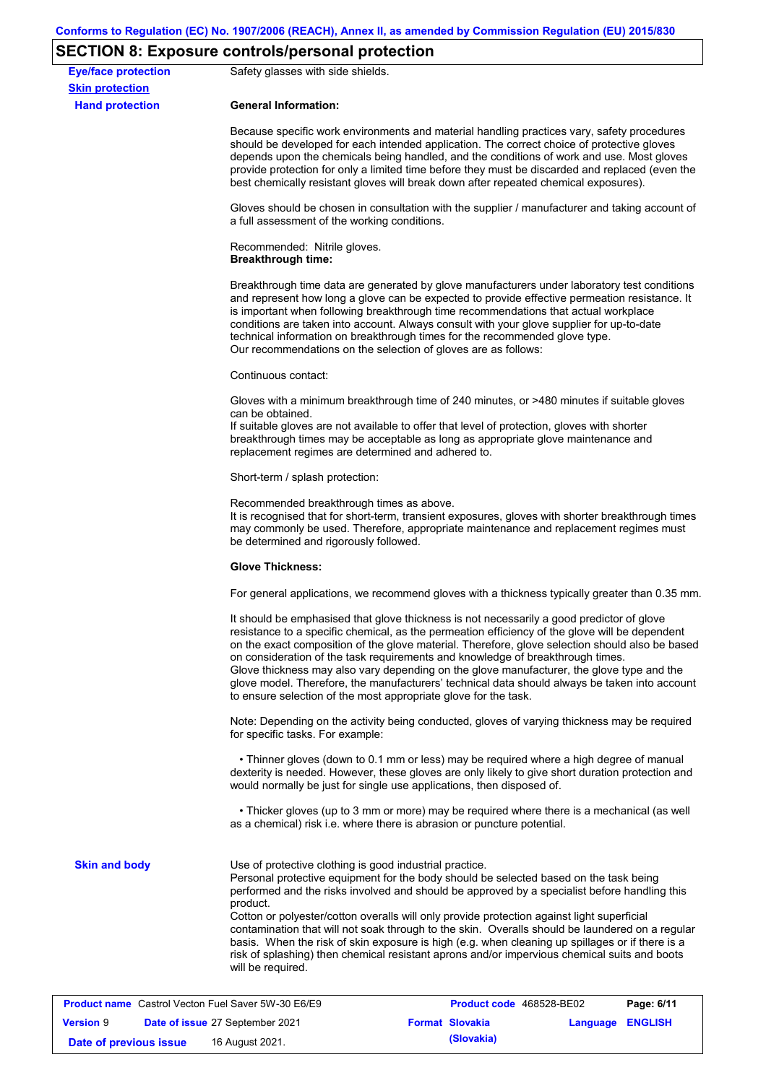# **SECTION 8: Exposure controls/personal protection**

| <b>Eye/face protection</b><br><b>Skin protection</b>      | Safety glasses with side shields.                                                                                                                                                                                                                                                                                                                                                                                                                                                                                                                                                                                                                                                     |                          |                  |            |  |
|-----------------------------------------------------------|---------------------------------------------------------------------------------------------------------------------------------------------------------------------------------------------------------------------------------------------------------------------------------------------------------------------------------------------------------------------------------------------------------------------------------------------------------------------------------------------------------------------------------------------------------------------------------------------------------------------------------------------------------------------------------------|--------------------------|------------------|------------|--|
| <b>Hand protection</b>                                    | <b>General Information:</b>                                                                                                                                                                                                                                                                                                                                                                                                                                                                                                                                                                                                                                                           |                          |                  |            |  |
|                                                           | Because specific work environments and material handling practices vary, safety procedures<br>should be developed for each intended application. The correct choice of protective gloves<br>depends upon the chemicals being handled, and the conditions of work and use. Most gloves<br>provide protection for only a limited time before they must be discarded and replaced (even the<br>best chemically resistant gloves will break down after repeated chemical exposures).                                                                                                                                                                                                      |                          |                  |            |  |
|                                                           | Gloves should be chosen in consultation with the supplier / manufacturer and taking account of<br>a full assessment of the working conditions.                                                                                                                                                                                                                                                                                                                                                                                                                                                                                                                                        |                          |                  |            |  |
|                                                           | Recommended: Nitrile gloves.<br><b>Breakthrough time:</b>                                                                                                                                                                                                                                                                                                                                                                                                                                                                                                                                                                                                                             |                          |                  |            |  |
|                                                           | Breakthrough time data are generated by glove manufacturers under laboratory test conditions<br>and represent how long a glove can be expected to provide effective permeation resistance. It<br>is important when following breakthrough time recommendations that actual workplace<br>conditions are taken into account. Always consult with your glove supplier for up-to-date<br>technical information on breakthrough times for the recommended glove type.<br>Our recommendations on the selection of gloves are as follows:                                                                                                                                                    |                          |                  |            |  |
|                                                           | Continuous contact:                                                                                                                                                                                                                                                                                                                                                                                                                                                                                                                                                                                                                                                                   |                          |                  |            |  |
|                                                           | Gloves with a minimum breakthrough time of 240 minutes, or >480 minutes if suitable gloves<br>can be obtained.<br>If suitable gloves are not available to offer that level of protection, gloves with shorter<br>breakthrough times may be acceptable as long as appropriate glove maintenance and                                                                                                                                                                                                                                                                                                                                                                                    |                          |                  |            |  |
|                                                           | replacement regimes are determined and adhered to.                                                                                                                                                                                                                                                                                                                                                                                                                                                                                                                                                                                                                                    |                          |                  |            |  |
|                                                           | Short-term / splash protection:                                                                                                                                                                                                                                                                                                                                                                                                                                                                                                                                                                                                                                                       |                          |                  |            |  |
|                                                           | Recommended breakthrough times as above.<br>It is recognised that for short-term, transient exposures, gloves with shorter breakthrough times<br>may commonly be used. Therefore, appropriate maintenance and replacement regimes must<br>be determined and rigorously followed.                                                                                                                                                                                                                                                                                                                                                                                                      |                          |                  |            |  |
|                                                           | <b>Glove Thickness:</b><br>For general applications, we recommend gloves with a thickness typically greater than 0.35 mm.                                                                                                                                                                                                                                                                                                                                                                                                                                                                                                                                                             |                          |                  |            |  |
|                                                           |                                                                                                                                                                                                                                                                                                                                                                                                                                                                                                                                                                                                                                                                                       |                          |                  |            |  |
|                                                           | It should be emphasised that glove thickness is not necessarily a good predictor of glove<br>resistance to a specific chemical, as the permeation efficiency of the glove will be dependent<br>on the exact composition of the glove material. Therefore, glove selection should also be based<br>on consideration of the task requirements and knowledge of breakthrough times.<br>Glove thickness may also vary depending on the glove manufacturer, the glove type and the<br>glove model. Therefore, the manufacturers' technical data should always be taken into account<br>to ensure selection of the most appropriate glove for the task.                                     |                          |                  |            |  |
|                                                           | Note: Depending on the activity being conducted, gloves of varying thickness may be required<br>for specific tasks. For example:                                                                                                                                                                                                                                                                                                                                                                                                                                                                                                                                                      |                          |                  |            |  |
|                                                           | • Thinner gloves (down to 0.1 mm or less) may be required where a high degree of manual<br>dexterity is needed. However, these gloves are only likely to give short duration protection and<br>would normally be just for single use applications, then disposed of.                                                                                                                                                                                                                                                                                                                                                                                                                  |                          |                  |            |  |
|                                                           | • Thicker gloves (up to 3 mm or more) may be required where there is a mechanical (as well<br>as a chemical) risk i.e. where there is abrasion or puncture potential.                                                                                                                                                                                                                                                                                                                                                                                                                                                                                                                 |                          |                  |            |  |
| <b>Skin and body</b>                                      | Use of protective clothing is good industrial practice.<br>Personal protective equipment for the body should be selected based on the task being<br>performed and the risks involved and should be approved by a specialist before handling this<br>product.<br>Cotton or polyester/cotton overalls will only provide protection against light superficial<br>contamination that will not soak through to the skin. Overalls should be laundered on a regular<br>basis. When the risk of skin exposure is high (e.g. when cleaning up spillages or if there is a<br>risk of splashing) then chemical resistant aprons and/or impervious chemical suits and boots<br>will be required. |                          |                  |            |  |
| <b>Product name</b> Castrol Vecton Fuel Saver 5W-30 E6/E9 |                                                                                                                                                                                                                                                                                                                                                                                                                                                                                                                                                                                                                                                                                       | Product code 468528-BE02 |                  | Page: 6/11 |  |
| <b>Version 9</b>                                          | Date of issue 27 September 2021                                                                                                                                                                                                                                                                                                                                                                                                                                                                                                                                                                                                                                                       | <b>Format Slovakia</b>   | Language ENGLISH |            |  |
| Date of previous issue                                    | 16 August 2021.                                                                                                                                                                                                                                                                                                                                                                                                                                                                                                                                                                                                                                                                       | (Slovakia)               |                  |            |  |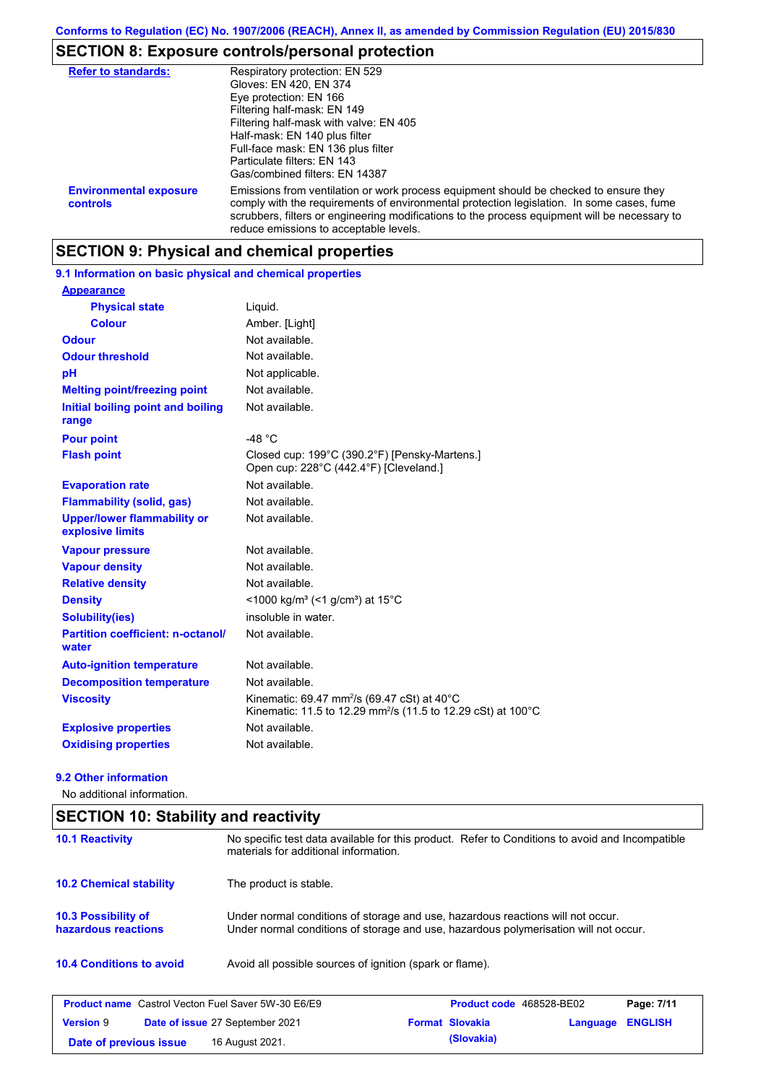# **SECTION 8: Exposure controls/personal protection**

| <b>Refer to standards:</b>                | Respiratory protection: EN 529<br>Gloves: EN 420, EN 374<br>Eye protection: EN 166<br>Filtering half-mask: EN 149<br>Filtering half-mask with valve: EN 405<br>Half-mask: EN 140 plus filter<br>Full-face mask: EN 136 plus filter<br>Particulate filters: EN 143<br>Gas/combined filters: EN 14387                           |
|-------------------------------------------|-------------------------------------------------------------------------------------------------------------------------------------------------------------------------------------------------------------------------------------------------------------------------------------------------------------------------------|
| <b>Environmental exposure</b><br>controls | Emissions from ventilation or work process equipment should be checked to ensure they<br>comply with the requirements of environmental protection legislation. In some cases, fume<br>scrubbers, filters or engineering modifications to the process equipment will be necessary to<br>reduce emissions to acceptable levels. |

# **SECTION 9: Physical and chemical properties**

| 9.1 Information on basic physical and chemical properties |                                                                                                                                     |
|-----------------------------------------------------------|-------------------------------------------------------------------------------------------------------------------------------------|
| <b>Appearance</b>                                         |                                                                                                                                     |
| <b>Physical state</b>                                     | Liquid.                                                                                                                             |
| <b>Colour</b>                                             | Amber. [Light]                                                                                                                      |
| <b>Odour</b>                                              | Not available.                                                                                                                      |
| <b>Odour threshold</b>                                    | Not available.                                                                                                                      |
| pH                                                        | Not applicable.                                                                                                                     |
| <b>Melting point/freezing point</b>                       | Not available.                                                                                                                      |
| Initial boiling point and boiling<br>range                | Not available.                                                                                                                      |
| <b>Pour point</b>                                         | -48 $^{\circ}$ C                                                                                                                    |
| <b>Flash point</b>                                        | Closed cup: 199°C (390.2°F) [Pensky-Martens.]<br>Open cup: 228°C (442.4°F) [Cleveland.]                                             |
| <b>Evaporation rate</b>                                   | Not available.                                                                                                                      |
| <b>Flammability (solid, gas)</b>                          | Not available.                                                                                                                      |
| <b>Upper/lower flammability or</b><br>explosive limits    | Not available.                                                                                                                      |
| <b>Vapour pressure</b>                                    | Not available.                                                                                                                      |
| <b>Vapour density</b>                                     | Not available.                                                                                                                      |
| <b>Relative density</b>                                   | Not available.                                                                                                                      |
| <b>Density</b>                                            | <1000 kg/m <sup>3</sup> (<1 g/cm <sup>3</sup> ) at 15 <sup>°</sup> C                                                                |
| Solubility(ies)                                           | insoluble in water.                                                                                                                 |
| <b>Partition coefficient: n-octanol/</b><br>water         | Not available.                                                                                                                      |
| <b>Auto-ignition temperature</b>                          | Not available.                                                                                                                      |
| <b>Decomposition temperature</b>                          | Not available.                                                                                                                      |
| <b>Viscosity</b>                                          | Kinematic: 69.47 mm <sup>2</sup> /s (69.47 cSt) at 40°C<br>Kinematic: 11.5 to 12.29 mm <sup>2</sup> /s (11.5 to 12.29 cSt) at 100°C |
| <b>Explosive properties</b>                               | Not available.                                                                                                                      |
| <b>Oxidising properties</b>                               | Not available.                                                                                                                      |
|                                                           |                                                                                                                                     |

#### **9.2 Other information**

No additional information.

# **SECTION 10: Stability and reactivity**

| <b>10.1 Reactivity</b>                                    | No specific test data available for this product. Refer to Conditions to avoid and Incompatible<br>materials for additional information.                                |                                 |          |                |
|-----------------------------------------------------------|-------------------------------------------------------------------------------------------------------------------------------------------------------------------------|---------------------------------|----------|----------------|
| <b>10.2 Chemical stability</b>                            | The product is stable.                                                                                                                                                  |                                 |          |                |
| <b>10.3 Possibility of</b><br>hazardous reactions         | Under normal conditions of storage and use, hazardous reactions will not occur.<br>Under normal conditions of storage and use, hazardous polymerisation will not occur. |                                 |          |                |
| <b>10.4 Conditions to avoid</b>                           | Avoid all possible sources of ignition (spark or flame).                                                                                                                |                                 |          |                |
| <b>Product name</b> Castrol Vecton Fuel Saver 5W-30 E6/E9 |                                                                                                                                                                         | <b>Product code</b> 468528-BE02 |          | Page: 7/11     |
| <b>Version 9</b>                                          | Date of issue 27 September 2021                                                                                                                                         | <b>Format Slovakia</b>          | Language | <b>ENGLISH</b> |
| Date of previous issue                                    | 16 August 2021.                                                                                                                                                         | (Slovakia)                      |          |                |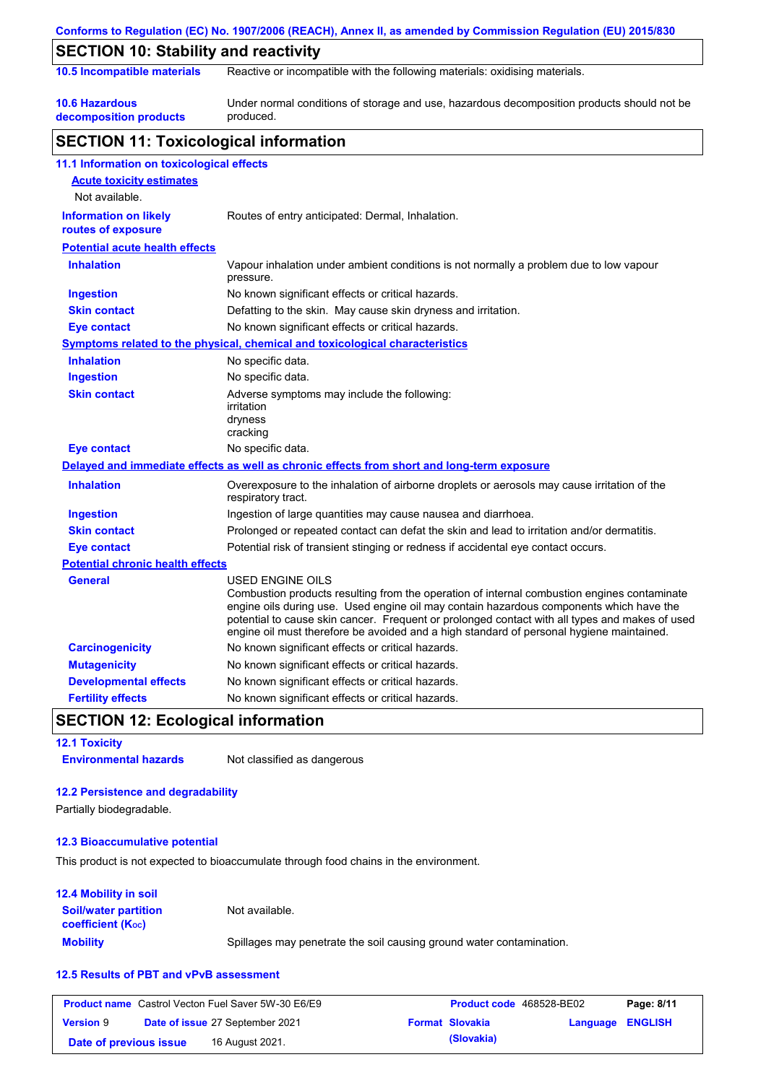|                                                    | Conforms to Regulation (EC) No. 1907/2006 (REACH), Annex II, as amended by Commission Regulation (EU) 2015/830                                                                                                                                                                                                                                                                       |
|----------------------------------------------------|--------------------------------------------------------------------------------------------------------------------------------------------------------------------------------------------------------------------------------------------------------------------------------------------------------------------------------------------------------------------------------------|
| <b>SECTION 10: Stability and reactivity</b>        |                                                                                                                                                                                                                                                                                                                                                                                      |
| 10.5 Incompatible materials                        | Reactive or incompatible with the following materials: oxidising materials.                                                                                                                                                                                                                                                                                                          |
| <b>10.6 Hazardous</b>                              | Under normal conditions of storage and use, hazardous decomposition products should not be                                                                                                                                                                                                                                                                                           |
| decomposition products                             | produced.                                                                                                                                                                                                                                                                                                                                                                            |
| <b>SECTION 11: Toxicological information</b>       |                                                                                                                                                                                                                                                                                                                                                                                      |
| 11.1 Information on toxicological effects          |                                                                                                                                                                                                                                                                                                                                                                                      |
| <b>Acute toxicity estimates</b>                    |                                                                                                                                                                                                                                                                                                                                                                                      |
| Not available.                                     |                                                                                                                                                                                                                                                                                                                                                                                      |
| <b>Information on likely</b><br>routes of exposure | Routes of entry anticipated: Dermal, Inhalation.                                                                                                                                                                                                                                                                                                                                     |
| <b>Potential acute health effects</b>              |                                                                                                                                                                                                                                                                                                                                                                                      |
| <b>Inhalation</b>                                  | Vapour inhalation under ambient conditions is not normally a problem due to low vapour                                                                                                                                                                                                                                                                                               |
|                                                    | pressure.                                                                                                                                                                                                                                                                                                                                                                            |
| <b>Ingestion</b>                                   | No known significant effects or critical hazards.                                                                                                                                                                                                                                                                                                                                    |
| <b>Skin contact</b>                                | Defatting to the skin. May cause skin dryness and irritation.                                                                                                                                                                                                                                                                                                                        |
| <b>Eye contact</b>                                 | No known significant effects or critical hazards.                                                                                                                                                                                                                                                                                                                                    |
|                                                    | Symptoms related to the physical, chemical and toxicological characteristics                                                                                                                                                                                                                                                                                                         |
| <b>Inhalation</b>                                  | No specific data.                                                                                                                                                                                                                                                                                                                                                                    |
| <b>Ingestion</b>                                   | No specific data.                                                                                                                                                                                                                                                                                                                                                                    |
| <b>Skin contact</b>                                | Adverse symptoms may include the following:<br>irritation<br>dryness<br>cracking                                                                                                                                                                                                                                                                                                     |
| <b>Eye contact</b>                                 | No specific data.                                                                                                                                                                                                                                                                                                                                                                    |
|                                                    | Delayed and immediate effects as well as chronic effects from short and long-term exposure                                                                                                                                                                                                                                                                                           |
| <b>Inhalation</b>                                  | Overexposure to the inhalation of airborne droplets or aerosols may cause irritation of the<br>respiratory tract.                                                                                                                                                                                                                                                                    |
| <b>Ingestion</b>                                   | Ingestion of large quantities may cause nausea and diarrhoea.                                                                                                                                                                                                                                                                                                                        |
| <b>Skin contact</b>                                | Prolonged or repeated contact can defat the skin and lead to irritation and/or dermatitis.                                                                                                                                                                                                                                                                                           |
| <b>Eye contact</b>                                 | Potential risk of transient stinging or redness if accidental eye contact occurs.                                                                                                                                                                                                                                                                                                    |
| <b>Potential chronic health effects</b>            |                                                                                                                                                                                                                                                                                                                                                                                      |
| <b>General</b>                                     | <b>USED ENGINE OILS</b>                                                                                                                                                                                                                                                                                                                                                              |
|                                                    | Combustion products resulting from the operation of internal combustion engines contaminate<br>engine oils during use. Used engine oil may contain hazardous components which have the<br>potential to cause skin cancer. Frequent or prolonged contact with all types and makes of used<br>engine oil must therefore be avoided and a high standard of personal hygiene maintained. |
| <b>Carcinogenicity</b>                             | No known significant effects or critical hazards.                                                                                                                                                                                                                                                                                                                                    |
| <b>Mutagenicity</b>                                | No known significant effects or critical hazards.                                                                                                                                                                                                                                                                                                                                    |
| <b>Developmental effects</b>                       | No known significant effects or critical hazards.                                                                                                                                                                                                                                                                                                                                    |
| <b>Fertility effects</b>                           | No known significant effects or critical hazards.                                                                                                                                                                                                                                                                                                                                    |

**12.1 Toxicity**

**Environmental hazards** Not classified as dangerous

### **12.2 Persistence and degradability**

Partially biodegradable.

### **12.3 Bioaccumulative potential**

This product is not expected to bioaccumulate through food chains in the environment.

| 12.4 Mobility in soil                                         |                                                                      |
|---------------------------------------------------------------|----------------------------------------------------------------------|
| <b>Soil/water partition</b><br>coefficient (K <sub>oc</sub> ) | Not available.                                                       |
| <b>Mobility</b>                                               | Spillages may penetrate the soil causing ground water contamination. |

### **12.5 Results of PBT and vPvB assessment**

|                        | <b>Product name</b> Castrol Vecton Fuel Saver 5W-30 E6/E9 | <b>Product code</b> 468528-BE02 |                  | Page: 8/11 |
|------------------------|-----------------------------------------------------------|---------------------------------|------------------|------------|
| <b>Version 9</b>       | <b>Date of issue 27 September 2021</b>                    | <b>Format Slovakia</b>          | Language ENGLISH |            |
| Date of previous issue | 16 August 2021.                                           | (Slovakia)                      |                  |            |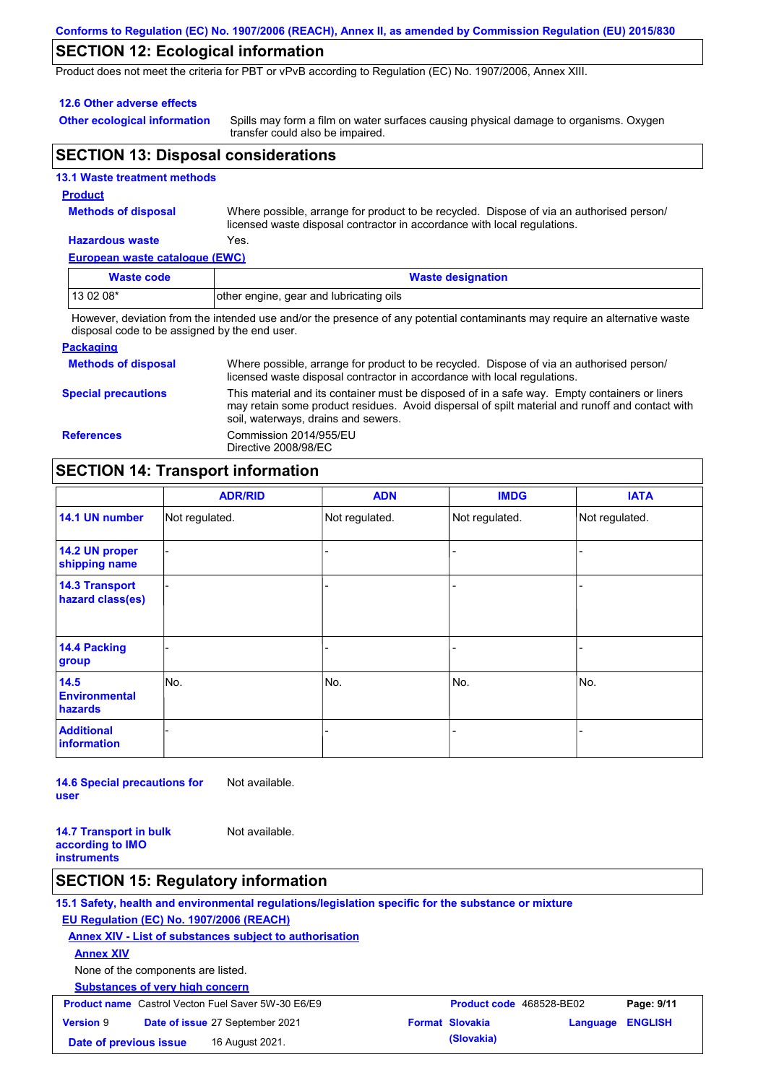#### **Conforms to Regulation (EC) No. 1907/2006 (REACH), Annex II, as amended by Commission Regulation (EU) 2015/830**

# **SECTION 12: Ecological information**

Product does not meet the criteria for PBT or vPvB according to Regulation (EC) No. 1907/2006, Annex XIII.

#### **12.6 Other adverse effects**

**Other ecological information**

Spills may form a film on water surfaces causing physical damage to organisms. Oxygen transfer could also be impaired.

## **SECTION 13: Disposal considerations**

|  | <b>13.1 Waste treatment methods</b> |
|--|-------------------------------------|
|  |                                     |

### **Product**

**Methods of disposal**

Where possible, arrange for product to be recycled. Dispose of via an authorised person/ licensed waste disposal contractor in accordance with local regulations.

#### **Hazardous waste** Yes.

**European waste catalogue (EWC)**

| Waste code                                                                                                                  | <b>Waste designation</b>                |  |
|-----------------------------------------------------------------------------------------------------------------------------|-----------------------------------------|--|
| 13 02 08*                                                                                                                   | other engine, gear and lubricating oils |  |
| However, deviation from the intended use and/or the presence of any potential contaminants may require an alternative waste |                                         |  |

However, deviation from the intended use and/or the presence of any potential contaminants may require an alternative waste disposal code to be assigned by the end user.

#### **Packaging**

| <b>Methods of disposal</b> | Where possible, arrange for product to be recycled. Dispose of via an authorised person/<br>licensed waste disposal contractor in accordance with local regulations.                                                                    |
|----------------------------|-----------------------------------------------------------------------------------------------------------------------------------------------------------------------------------------------------------------------------------------|
| <b>Special precautions</b> | This material and its container must be disposed of in a safe way. Empty containers or liners<br>may retain some product residues. Avoid dispersal of spilt material and runoff and contact with<br>soil, waterways, drains and sewers. |
| <b>References</b>          | Commission 2014/955/EU<br>Directive 2008/98/EC                                                                                                                                                                                          |

### **SECTION 14: Transport information**

|                                           | <b>ADR/RID</b> | <b>ADN</b>     | <b>IMDG</b>    | <b>IATA</b>    |
|-------------------------------------------|----------------|----------------|----------------|----------------|
| 14.1 UN number                            | Not regulated. | Not regulated. | Not regulated. | Not regulated. |
| 14.2 UN proper<br>shipping name           |                |                |                |                |
| <b>14.3 Transport</b><br>hazard class(es) |                |                | ۰              |                |
| 14.4 Packing<br>group                     |                |                | -              |                |
| 14.5<br><b>Environmental</b><br>hazards   | No.            | No.            | No.            | No.            |
| <b>Additional</b><br><b>information</b>   |                |                |                |                |

**14.6 Special precautions for user** Not available.

**14.7 Transport in bulk according to IMO instruments** Not available.

### **SECTION 15: Regulatory information**

**15.1 Safety, health and environmental regulations/legislation specific for the substance or mixture EU Regulation (EC) No. 1907/2006 (REACH)**

**Annex XIV - List of substances subject to authorisation**

**Annex XIV**

None of the components are listed.

**Substances of very high concern**

| <b>Product name</b> Castrol Vecton Fuel Saver 5W-30 E6/E9 |  |                                 | <b>Product code</b> 468528-BE02 | Page: 9/11             |                         |  |
|-----------------------------------------------------------|--|---------------------------------|---------------------------------|------------------------|-------------------------|--|
| <b>Version 9</b>                                          |  | Date of issue 27 September 2021 |                                 | <b>Format Slovakia</b> | <b>Language ENGLISH</b> |  |
| Date of previous issue                                    |  | 16 August 2021.                 |                                 | (Slovakia)             |                         |  |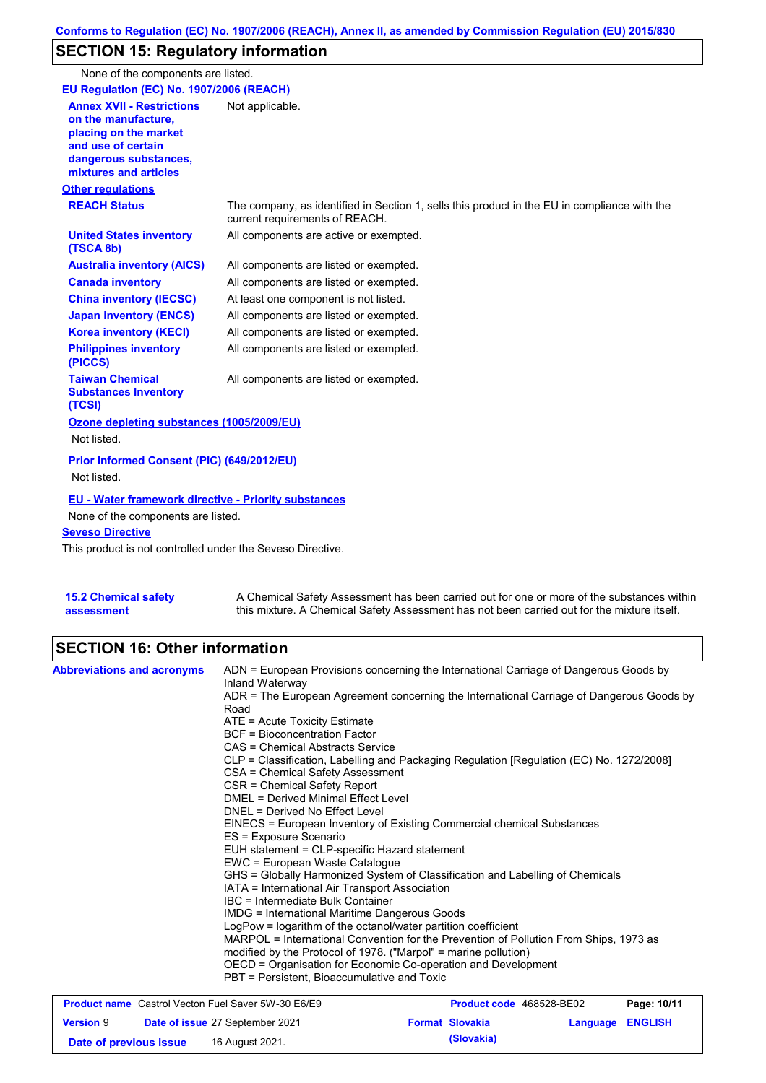# **SECTION 15: Regulatory information**

None of the components are listed.

| EU Regulation (EC) No. 1907/2006 (REACH)                                                                                                                                                   |                                                                                                                                |
|--------------------------------------------------------------------------------------------------------------------------------------------------------------------------------------------|--------------------------------------------------------------------------------------------------------------------------------|
| <b>Annex XVII - Restrictions</b><br>on the manufacture.<br>placing on the market<br>and use of certain<br>dangerous substances,<br>mixtures and articles                                   | Not applicable.                                                                                                                |
| <b>Other regulations</b>                                                                                                                                                                   |                                                                                                                                |
| <b>REACH Status</b>                                                                                                                                                                        | The company, as identified in Section 1, sells this product in the EU in compliance with the<br>current requirements of REACH. |
| <b>United States inventory</b><br>(TSCA 8b)                                                                                                                                                | All components are active or exempted.                                                                                         |
| <b>Australia inventory (AICS)</b>                                                                                                                                                          | All components are listed or exempted.                                                                                         |
| <b>Canada inventory</b>                                                                                                                                                                    | All components are listed or exempted.                                                                                         |
| <b>China inventory (IECSC)</b>                                                                                                                                                             | At least one component is not listed.                                                                                          |
| <b>Japan inventory (ENCS)</b>                                                                                                                                                              | All components are listed or exempted.                                                                                         |
| <b>Korea inventory (KECI)</b>                                                                                                                                                              | All components are listed or exempted.                                                                                         |
| <b>Philippines inventory</b><br>(PICCS)                                                                                                                                                    | All components are listed or exempted.                                                                                         |
| <b>Taiwan Chemical</b><br><b>Substances Inventory</b><br>(TCSI)                                                                                                                            | All components are listed or exempted.                                                                                         |
| Ozone depleting substances (1005/2009/EU)                                                                                                                                                  |                                                                                                                                |
| Not listed.                                                                                                                                                                                |                                                                                                                                |
| Prior Informed Consent (PIC) (649/2012/EU)<br>Not listed.                                                                                                                                  |                                                                                                                                |
| <b>EU - Water framework directive - Priority substances</b><br>None of the components are listed.<br><b>Seveso Directive</b><br>This product is not controlled under the Seveso Directive. |                                                                                                                                |
|                                                                                                                                                                                            |                                                                                                                                |

| <b>15.2 Chemical safety</b> | A Chemical Safety Assessment has been carried out for one or more of the substances within  |
|-----------------------------|---------------------------------------------------------------------------------------------|
| assessment                  | this mixture. A Chemical Safety Assessment has not been carried out for the mixture itself. |

# **SECTION 16: Other information**

| <b>Abbreviations and acronyms</b> | ADN = European Provisions concerning the International Carriage of Dangerous Goods by<br>Inland Waterway<br>Road | ADR = The European Agreement concerning the International Carriage of Dangerous Goods by<br>$ATE = Acute Toxicity Estimate$<br>BCF = Bioconcentration Factor<br>CAS = Chemical Abstracts Service<br>CLP = Classification, Labelling and Packaging Regulation [Regulation (EC) No. 1272/2008]<br>CSA = Chemical Safety Assessment<br>CSR = Chemical Safety Report<br>DMEL = Derived Minimal Effect Level<br>DNEL = Derived No Effect Level<br>EINECS = European Inventory of Existing Commercial chemical Substances<br>ES = Exposure Scenario<br>EUH statement = CLP-specific Hazard statement<br>EWC = European Waste Catalogue<br>GHS = Globally Harmonized System of Classification and Labelling of Chemicals<br>IATA = International Air Transport Association<br>IBC = Intermediate Bulk Container<br>IMDG = International Maritime Dangerous Goods<br>LogPow = logarithm of the octanol/water partition coefficient |                          |          |                |  |  |
|-----------------------------------|------------------------------------------------------------------------------------------------------------------|----------------------------------------------------------------------------------------------------------------------------------------------------------------------------------------------------------------------------------------------------------------------------------------------------------------------------------------------------------------------------------------------------------------------------------------------------------------------------------------------------------------------------------------------------------------------------------------------------------------------------------------------------------------------------------------------------------------------------------------------------------------------------------------------------------------------------------------------------------------------------------------------------------------------------|--------------------------|----------|----------------|--|--|
|                                   |                                                                                                                  | MARPOL = International Convention for the Prevention of Pollution From Ships, 1973 as<br>modified by the Protocol of 1978. ("Marpol" = marine pollution)<br>OECD = Organisation for Economic Co-operation and Development<br>PBT = Persistent, Bioaccumulative and Toxic                                                                                                                                                                                                                                                                                                                                                                                                                                                                                                                                                                                                                                                   |                          |          |                |  |  |
|                                   | <b>Product name</b> Castrol Vecton Fuel Saver 5W-30 E6/E9                                                        |                                                                                                                                                                                                                                                                                                                                                                                                                                                                                                                                                                                                                                                                                                                                                                                                                                                                                                                            | Product code 468528-BE02 |          | Page: 10/11    |  |  |
| <b>Version 9</b>                  | Date of issue 27 September 2021                                                                                  |                                                                                                                                                                                                                                                                                                                                                                                                                                                                                                                                                                                                                                                                                                                                                                                                                                                                                                                            | <b>Format Slovakia</b>   | Language | <b>ENGLISH</b> |  |  |

**Date of previous issue (Slovakia)** 16 August 2021.